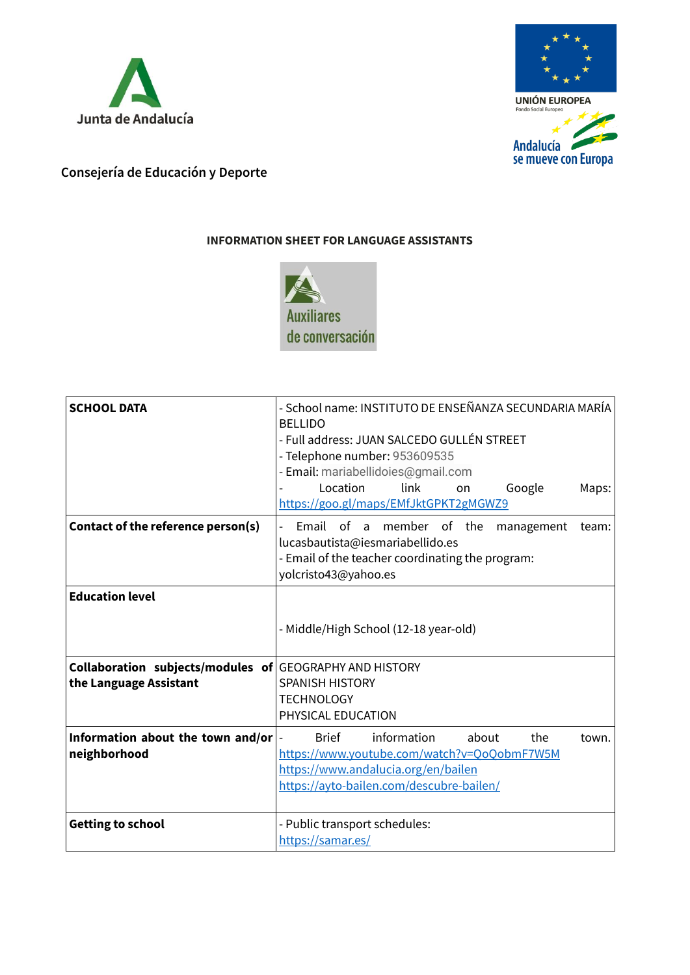



## **Consejería de Educación y Deporte**

## **INFORMATION SHEET FOR LANGUAGE ASSISTANTS**



| <b>SCHOOL DATA</b>                                                                       | - School name: INSTITUTO DE ENSEÑANZA SECUNDARIA MARÍA<br><b>BELLIDO</b><br>- Full address: JUAN SALCEDO GULLÉN STREET<br>- Telephone number: 953609535<br>- Email: mariabellidoies@gmail.com<br>link<br>Location<br>Google<br>Maps:<br>on<br>https://goo.gl/maps/EMfJktGPKT2gMGWZ9 |
|------------------------------------------------------------------------------------------|-------------------------------------------------------------------------------------------------------------------------------------------------------------------------------------------------------------------------------------------------------------------------------------|
| Contact of the reference person(s)                                                       | Email of a member of the<br>management<br>team:<br>lucasbautista@iesmariabellido.es<br>- Email of the teacher coordinating the program:<br>yolcristo43@yahoo.es                                                                                                                     |
| <b>Education level</b>                                                                   | - Middle/High School (12-18 year-old)                                                                                                                                                                                                                                               |
| <b>Collaboration subjects/modules of GEOGRAPHY AND HISTORY</b><br>the Language Assistant | <b>SPANISH HISTORY</b><br><b>TECHNOLOGY</b><br>PHYSICAL EDUCATION                                                                                                                                                                                                                   |
| Information about the town and/or<br>neighborhood                                        | information<br>about<br>the<br><b>Brief</b><br>town.<br>https://www.youtube.com/watch?v=QoQobmF7W5M<br>https://www.andalucia.org/en/bailen<br>https://ayto-bailen.com/descubre-bailen/                                                                                              |
| <b>Getting to school</b>                                                                 | - Public transport schedules:<br>https://samar.es/                                                                                                                                                                                                                                  |